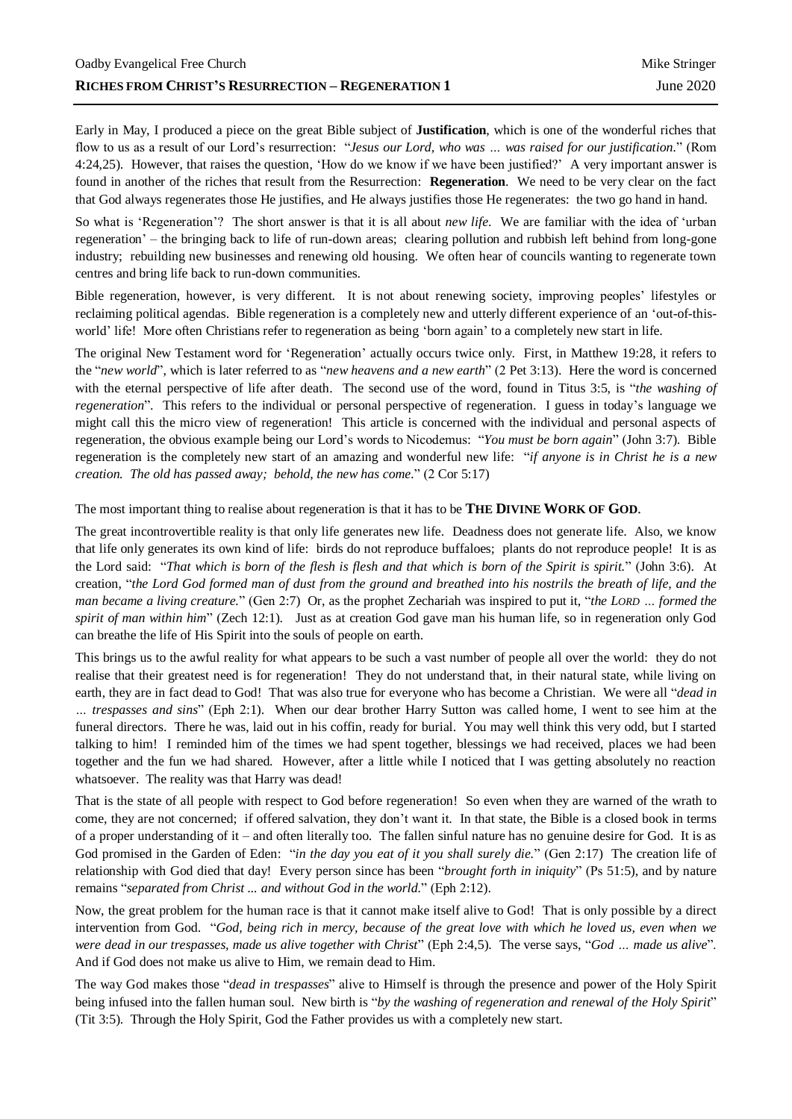Early in May, I produced a piece on the great Bible subject of **Justification**, which is one of the wonderful riches that flow to us as a result of our Lord's resurrection: "*Jesus our Lord, who was … was raised for our justification.*" (Rom 4:24,25). However, that raises the question, 'How do we know if we have been justified?' A very important answer is found in another of the riches that result from the Resurrection: **Regeneration**. We need to be very clear on the fact that God always regenerates those He justifies, and He always justifies those He regenerates: the two go hand in hand.

So what is 'Regeneration'? The short answer is that it is all about *new life*. We are familiar with the idea of 'urban regeneration' – the bringing back to life of run-down areas; clearing pollution and rubbish left behind from long-gone industry; rebuilding new businesses and renewing old housing. We often hear of councils wanting to regenerate town centres and bring life back to run-down communities.

Bible regeneration, however, is very different. It is not about renewing society, improving peoples' lifestyles or reclaiming political agendas. Bible regeneration is a completely new and utterly different experience of an 'out-of-thisworld' life! More often Christians refer to regeneration as being 'born again' to a completely new start in life.

The original New Testament word for 'Regeneration' actually occurs twice only. First, in Matthew 19:28, it refers to the "*new world*", which is later referred to as "*new heavens and a new earth*" (2 Pet 3:13). Here the word is concerned with the eternal perspective of life after death. The second use of the word, found in Titus 3:5, is "*the washing of regeneration*". This refers to the individual or personal perspective of regeneration. I guess in today's language we might call this the micro view of regeneration! This article is concerned with the individual and personal aspects of regeneration, the obvious example being our Lord's words to Nicodemus: "*You must be born again*" (John 3:7). Bible regeneration is the completely new start of an amazing and wonderful new life: "*if anyone is in Christ he is a new creation. The old has passed away; behold, the new has come.*" (2 Cor 5:17)

The most important thing to realise about regeneration is that it has to be **THE DIVINE WORK OF GOD**.

The great incontrovertible reality is that only life generates new life. Deadness does not generate life. Also, we know that life only generates its own kind of life: birds do not reproduce buffaloes; plants do not reproduce people! It is as the Lord said: "*That which is born of the flesh is flesh and that which is born of the Spirit is spirit.*" (John 3:6). At creation, "*the Lord God formed man of dust from the ground and breathed into his nostrils the breath of life, and the man became a living creature.*" (Gen 2:7) Or, as the prophet Zechariah was inspired to put it, "*the LORD … formed the spirit of man within him*" (Zech 12:1). Just as at creation God gave man his human life, so in regeneration only God can breathe the life of His Spirit into the souls of people on earth.

This brings us to the awful reality for what appears to be such a vast number of people all over the world: they do not realise that their greatest need is for regeneration! They do not understand that, in their natural state, while living on earth, they are in fact dead to God! That was also true for everyone who has become a Christian. We were all "*dead in … trespasses and sins*" (Eph 2:1). When our dear brother Harry Sutton was called home, I went to see him at the funeral directors. There he was, laid out in his coffin, ready for burial. You may well think this very odd, but I started talking to him! I reminded him of the times we had spent together, blessings we had received, places we had been together and the fun we had shared. However, after a little while I noticed that I was getting absolutely no reaction whatsoever. The reality was that Harry was dead!

That is the state of all people with respect to God before regeneration! So even when they are warned of the wrath to come, they are not concerned; if offered salvation, they don't want it. In that state, the Bible is a closed book in terms of a proper understanding of it – and often literally too. The fallen sinful nature has no genuine desire for God. It is as God promised in the Garden of Eden: "*in the day you eat of it you shall surely die.*" (Gen 2:17) The creation life of relationship with God died that day! Every person since has been "*brought forth in iniquity*" (Ps 51:5), and by nature remains "*separated from Christ ... and without God in the world.*" (Eph 2:12).

Now, the great problem for the human race is that it cannot make itself alive to God! That is only possible by a direct intervention from God. "*God, being rich in mercy, because of the great love with which he loved us, even when we were dead in our trespasses, made us alive together with Christ*" (Eph 2:4,5). The verse says, "*God … made us alive*". And if God does not make us alive to Him, we remain dead to Him.

The way God makes those "*dead in trespasses*" alive to Himself is through the presence and power of the Holy Spirit being infused into the fallen human soul. New birth is "*by the washing of regeneration and renewal of the Holy Spirit*" (Tit 3:5). Through the Holy Spirit, God the Father provides us with a completely new start.